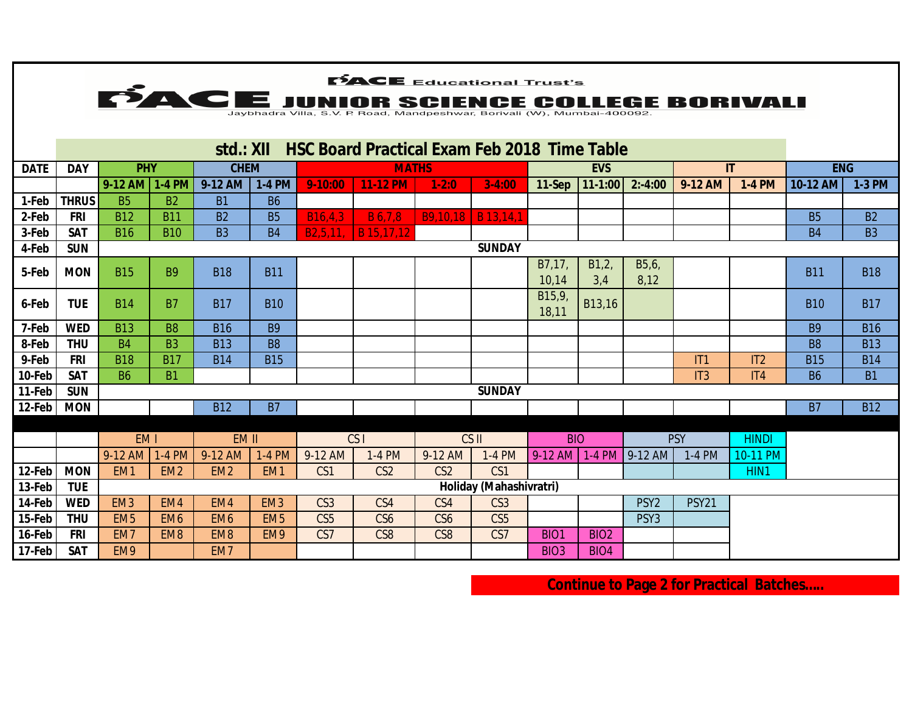|                  | <b>PACE</b> Educational Trust's                                                                                         |                                    |                        |                        |                                    |                                    |                        |                                    |                                    |                  |                  |                                      |              |               |                |            |
|------------------|-------------------------------------------------------------------------------------------------------------------------|------------------------------------|------------------------|------------------------|------------------------------------|------------------------------------|------------------------|------------------------------------|------------------------------------|------------------|------------------|--------------------------------------|--------------|---------------|----------------|------------|
|                  | <b>FIACE JUNIOR SCIENCE COLLEGE BORIVALI</b><br>Jaybhadra Villa, S.V. P. Road, Mandpeshwar, Borivali (W), Mumbai-400092 |                                    |                        |                        |                                    |                                    |                        |                                    |                                    |                  |                  |                                      |              |               |                |            |
|                  |                                                                                                                         |                                    |                        |                        |                                    |                                    |                        |                                    |                                    |                  |                  |                                      |              |               |                |            |
|                  | <b>HSC Board Practical Exam Feb 2018 Time Table</b><br>std.: XII                                                        |                                    |                        |                        |                                    |                                    |                        |                                    |                                    |                  |                  |                                      |              |               |                |            |
| <b>DATE</b>      | <b>DAY</b>                                                                                                              | <b>PHY</b>                         |                        | <b>CHEM</b>            |                                    |                                    | <b>MATHS</b>           |                                    |                                    | <b>EVS</b>       |                  |                                      | $\mathbf{H}$ |               | <b>ENG</b>     |            |
|                  |                                                                                                                         | 9-12 AM 1-4 PM                     |                        | 9-12 AM                | <b>1-4 PM</b>                      | $9 - 10:00$                        | <b>11-12 PM</b>        | $1-2:0$                            | $3-4:00$                           |                  | 11-Sep   11-1:00 | $2: -4:00$                           | 9-12 AM      | <b>1-4 PM</b> | 10-12 AM       | 1-3 PM     |
| 1-Feb            | <b>THRUS</b>                                                                                                            | <b>B5</b>                          | <b>B2</b>              | <b>B1</b>              | <b>B6</b>                          |                                    |                        |                                    |                                    |                  |                  |                                      |              |               |                |            |
| 2-Feb            | <b>FRI</b>                                                                                                              | <b>B12</b>                         | <b>B11</b>             | <b>B2</b>              | <b>B5</b>                          | B <sub>16</sub> ,4,3               | <b>B</b> 6,7,8         | <b>B9.10.18   B 13.14.1</b>        |                                    |                  |                  |                                      |              |               | <b>B5</b>      | <b>B2</b>  |
| 3-Feb            | <b>SAT</b>                                                                                                              | <b>B16</b>                         | <b>B10</b>             | B <sub>3</sub>         | <b>B4</b>                          | B2,5,11,                           | B 15,17,12             |                                    |                                    |                  |                  |                                      |              |               | <b>B4</b>      | <b>B3</b>  |
| 4-Feb            | <b>SUN</b>                                                                                                              |                                    |                        |                        |                                    |                                    |                        |                                    | <b>SUNDAY</b>                      |                  |                  |                                      |              |               |                |            |
| 5-Feb            | <b>MON</b>                                                                                                              | <b>B15</b>                         | <b>B9</b>              | <b>B18</b>             | <b>B11</b>                         |                                    |                        |                                    |                                    | B7,17,<br>10,14  | B1,2<br>3,4      | B5,6,<br>8,12                        |              |               | <b>B11</b>     | <b>B18</b> |
| 6-Feb            | <b>TUE</b>                                                                                                              | <b>B14</b>                         | <b>B7</b>              | <b>B17</b>             | <b>B10</b>                         |                                    |                        |                                    |                                    | B15,9<br>18,11   | B13,16           |                                      |              |               | <b>B10</b>     | <b>B17</b> |
| 7-Feb            | <b>WED</b>                                                                                                              | <b>B13</b>                         | <b>B8</b>              | <b>B16</b>             | <b>B9</b>                          |                                    |                        |                                    |                                    |                  |                  |                                      |              |               | <b>B9</b>      | <b>B16</b> |
| 8-Feb            | <b>THU</b>                                                                                                              | <b>B4</b>                          | <b>B3</b>              | <b>B13</b>             | <b>B8</b>                          |                                    |                        |                                    |                                    |                  |                  |                                      |              |               | B <sub>8</sub> | <b>B13</b> |
| 9-Feb            | <b>FRI</b>                                                                                                              | <b>B18</b>                         | <b>B17</b>             | <b>B14</b>             | <b>B15</b>                         |                                    |                        |                                    |                                    |                  |                  |                                      | IT1          | IT2           | <b>B15</b>     | <b>B14</b> |
| 10-Feb           | <b>SAT</b>                                                                                                              | <b>B6</b>                          | <b>B1</b>              |                        |                                    |                                    |                        |                                    |                                    |                  |                  |                                      | IT3          | IT4           | <b>B6</b>      | <b>B1</b>  |
| 11-Feb           | <b>SUN</b>                                                                                                              |                                    |                        |                        |                                    |                                    |                        |                                    | <b>SUNDAY</b>                      |                  |                  |                                      |              |               |                |            |
| 12-Feb           | <b>MON</b>                                                                                                              |                                    |                        | <b>B12</b>             | <b>B7</b>                          |                                    |                        |                                    |                                    |                  |                  |                                      |              |               | <b>B7</b>      | <b>B12</b> |
|                  |                                                                                                                         |                                    |                        |                        |                                    |                                    |                        |                                    |                                    |                  |                  |                                      |              |               |                |            |
|                  |                                                                                                                         | EM <sub>1</sub>                    |                        | EM II                  |                                    |                                    | CS <sub>1</sub>        |                                    | CS II                              | <b>BIO</b>       |                  |                                      | <b>PSY</b>   | <b>HINDI</b>  |                |            |
|                  |                                                                                                                         | $9-12$ AM                          | $1-4$ PM               | 9-12 AM                | 1-4 PM                             | 9-12 AM                            | 1-4 PM                 | 9-12 AM                            | 1-4 PM                             |                  |                  | $9-12$ AM $1-4$ PM $9-12$ AM         | 1-4 PM       | 10-11 PM      |                |            |
| 12-Feb           | <b>MON</b>                                                                                                              | EM <sub>1</sub>                    | EM <sub>2</sub>        | EM <sub>2</sub>        | EM <sub>1</sub>                    | CS1                                | CS <sub>2</sub>        | CS <sub>2</sub>                    | CS <sub>1</sub>                    |                  |                  |                                      |              | HIN1          |                |            |
| 13-Feb           | <b>TUE</b>                                                                                                              |                                    |                        |                        |                                    |                                    |                        |                                    | Holiday (Mahashivratri)            |                  |                  |                                      |              |               |                |            |
| 14-Feb<br>15-Feb | <b>WED</b><br><b>THU</b>                                                                                                | EM <sub>3</sub><br>EM <sub>5</sub> | EM4<br>EM <sub>6</sub> | EM4<br>EM <sub>6</sub> | EM <sub>3</sub><br>EM <sub>5</sub> | CS <sub>3</sub><br>CS <sub>5</sub> | CS4<br>CS <sub>6</sub> | CS4                                | CS <sub>3</sub><br>CS <sub>5</sub> |                  |                  | PSY <sub>2</sub><br>PSY <sub>3</sub> | <b>PSY21</b> |               |                |            |
| 16-Feb           | <b>FRI</b>                                                                                                              | EM7                                | EM <sub>8</sub>        | EM <sub>8</sub>        | EM9                                | CS7                                | CS <sub>8</sub>        | CS <sub>6</sub><br>CS <sub>8</sub> | CS7                                | BIO <sub>1</sub> | BIO <sub>2</sub> |                                      |              |               |                |            |
| 17-Feb           | <b>SAT</b>                                                                                                              | EM9                                |                        | EM7                    |                                    |                                    |                        |                                    |                                    | <b>BIO3</b>      | BIO <sub>4</sub> |                                      |              |               |                |            |
|                  |                                                                                                                         |                                    |                        |                        |                                    |                                    |                        |                                    |                                    |                  |                  |                                      |              |               |                |            |

**Continue to Page 2 for Practical Batches…..**